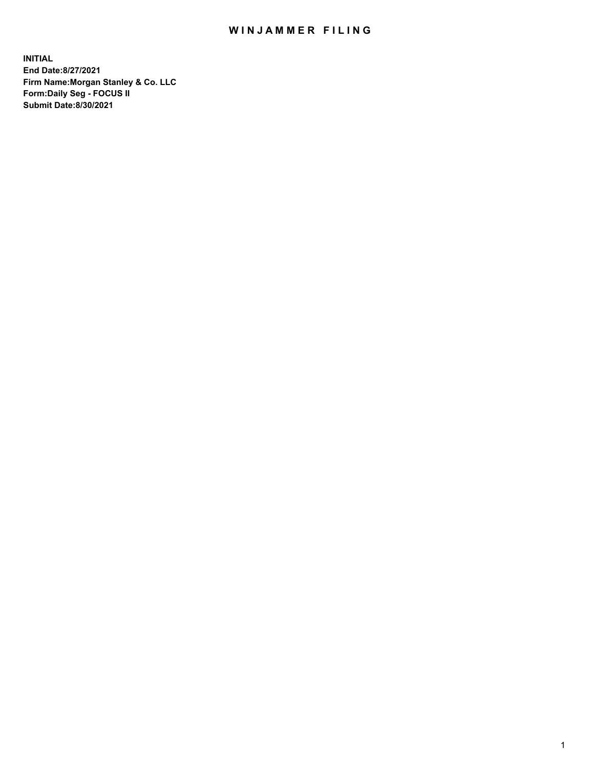## WIN JAMMER FILING

**INITIAL End Date:8/27/2021 Firm Name:Morgan Stanley & Co. LLC Form:Daily Seg - FOCUS II Submit Date:8/30/2021**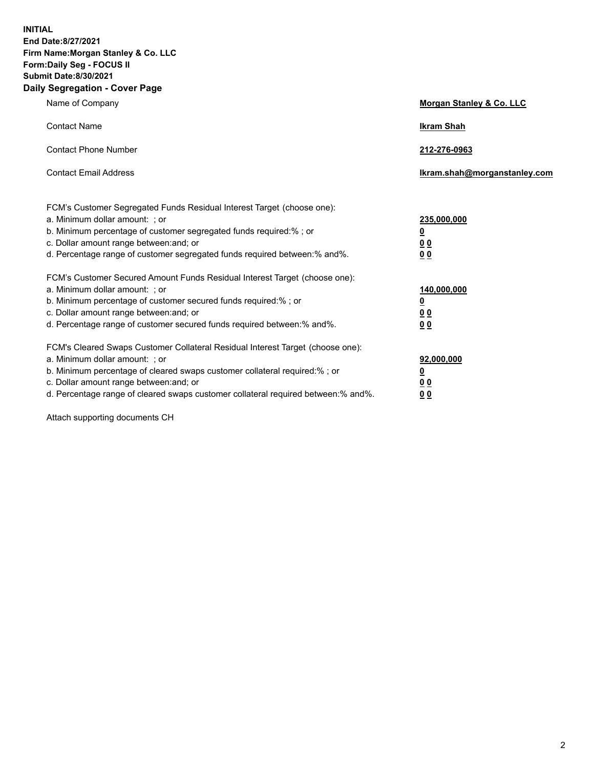**INITIAL End Date:8/27/2021 Firm Name:Morgan Stanley & Co. LLC Form:Daily Seg - FOCUS II Submit Date:8/30/2021 Daily Segregation - Cover Page**

| Name of Company                                                                                                                                                                                                                                                                                                                | <b>Morgan Stanley &amp; Co. LLC</b>                    |
|--------------------------------------------------------------------------------------------------------------------------------------------------------------------------------------------------------------------------------------------------------------------------------------------------------------------------------|--------------------------------------------------------|
| <b>Contact Name</b>                                                                                                                                                                                                                                                                                                            | <b>Ikram Shah</b>                                      |
| <b>Contact Phone Number</b>                                                                                                                                                                                                                                                                                                    | 212-276-0963                                           |
| <b>Contact Email Address</b>                                                                                                                                                                                                                                                                                                   | Ikram.shah@morganstanley.com                           |
| FCM's Customer Segregated Funds Residual Interest Target (choose one):<br>a. Minimum dollar amount: : or<br>b. Minimum percentage of customer segregated funds required:%; or<br>c. Dollar amount range between: and; or<br>d. Percentage range of customer segregated funds required between:% and%.                          | 235,000,000<br><u>0</u><br><u>00</u><br><u>00</u>      |
| FCM's Customer Secured Amount Funds Residual Interest Target (choose one):<br>a. Minimum dollar amount: ; or<br>b. Minimum percentage of customer secured funds required:%; or<br>c. Dollar amount range between: and; or<br>d. Percentage range of customer secured funds required between:% and%.                            | 140,000,000<br><u>0</u><br><u>00</u><br>0 <sub>0</sub> |
| FCM's Cleared Swaps Customer Collateral Residual Interest Target (choose one):<br>a. Minimum dollar amount: ; or<br>b. Minimum percentage of cleared swaps customer collateral required:% ; or<br>c. Dollar amount range between: and; or<br>d. Percentage range of cleared swaps customer collateral required between:% and%. | 92,000,000<br><u>0</u><br><u>00</u><br>00              |

Attach supporting documents CH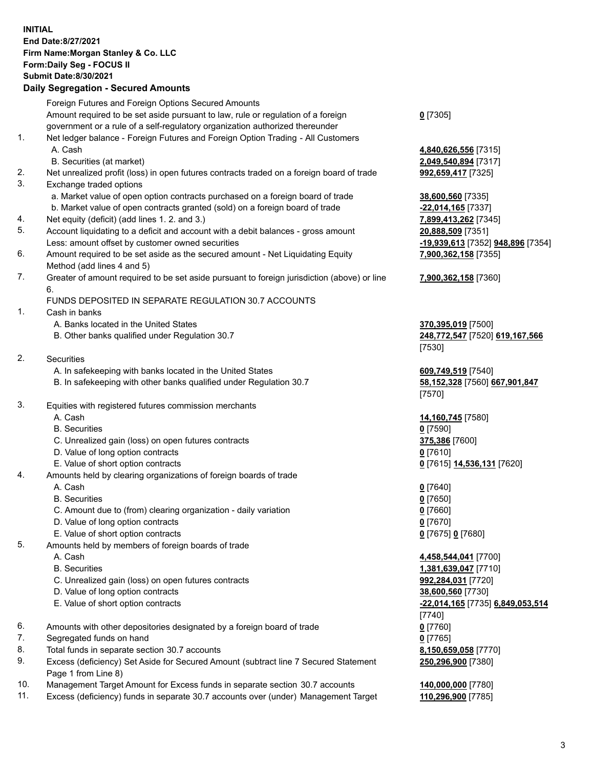## **INITIAL End Date:8/27/2021 Firm Name:Morgan Stanley & Co. LLC Form:Daily Seg - FOCUS II Submit Date:8/30/2021**

## **Daily Segregation - Secured Amounts**

|          | Foreign Futures and Foreign Options Secured Amounts                                                        |                                   |
|----------|------------------------------------------------------------------------------------------------------------|-----------------------------------|
|          | Amount required to be set aside pursuant to law, rule or regulation of a foreign                           | $0$ [7305]                        |
|          | government or a rule of a self-regulatory organization authorized thereunder                               |                                   |
| 1.       | Net ledger balance - Foreign Futures and Foreign Option Trading - All Customers<br>A. Cash                 |                                   |
|          |                                                                                                            | 4,840,626,556 [7315]              |
|          | B. Securities (at market)                                                                                  | 2,049,540,894 [7317]              |
| 2.<br>3. | Net unrealized profit (loss) in open futures contracts traded on a foreign board of trade                  | 992,659,417 [7325]                |
|          | Exchange traded options                                                                                    |                                   |
|          | a. Market value of open option contracts purchased on a foreign board of trade                             | 38,600,560 [7335]                 |
|          | b. Market value of open contracts granted (sold) on a foreign board of trade                               | -22,014,165 [7337]                |
| 4.       | Net equity (deficit) (add lines 1. 2. and 3.)                                                              | 7,899,413,262 [7345]              |
| 5.       | Account liquidating to a deficit and account with a debit balances - gross amount                          | 20,888,509 [7351]                 |
|          | Less: amount offset by customer owned securities                                                           | -19,939,613 [7352] 948,896 [7354] |
| 6.       | Amount required to be set aside as the secured amount - Net Liquidating Equity                             | 7,900,362,158 [7355]              |
|          | Method (add lines 4 and 5)                                                                                 |                                   |
| 7.       | Greater of amount required to be set aside pursuant to foreign jurisdiction (above) or line<br>6.          | 7,900,362,158 [7360]              |
|          | FUNDS DEPOSITED IN SEPARATE REGULATION 30.7 ACCOUNTS                                                       |                                   |
| 1.       | Cash in banks                                                                                              |                                   |
|          | A. Banks located in the United States                                                                      | 370,395,019 [7500]                |
|          | B. Other banks qualified under Regulation 30.7                                                             | 248,772,547 [7520] 619,167,566    |
|          |                                                                                                            | [7530]                            |
| 2.       | Securities                                                                                                 |                                   |
|          | A. In safekeeping with banks located in the United States                                                  | 609,749,519 [7540]                |
|          | B. In safekeeping with other banks qualified under Regulation 30.7                                         | 58,152,328 [7560] 667,901,847     |
|          |                                                                                                            | [7570]                            |
| 3.       | Equities with registered futures commission merchants                                                      |                                   |
|          | A. Cash                                                                                                    | 14,160,745 [7580]                 |
|          | <b>B.</b> Securities                                                                                       | $0$ [7590]                        |
|          | C. Unrealized gain (loss) on open futures contracts                                                        | 375,386 [7600]                    |
|          | D. Value of long option contracts                                                                          | $0$ [7610]                        |
|          | E. Value of short option contracts                                                                         | 0 [7615] 14,536,131 [7620]        |
| 4.       | Amounts held by clearing organizations of foreign boards of trade                                          |                                   |
|          | A. Cash                                                                                                    | $0$ [7640]                        |
|          | <b>B.</b> Securities                                                                                       | $0$ [7650]                        |
|          | C. Amount due to (from) clearing organization - daily variation                                            | $0$ [7660]                        |
|          | D. Value of long option contracts                                                                          | $0$ [7670]                        |
|          | E. Value of short option contracts                                                                         | 0 [7675] 0 [7680]                 |
| 5.       | Amounts held by members of foreign boards of trade                                                         |                                   |
|          | A. Cash                                                                                                    | 4,458,544,041 [7700]              |
|          | <b>B.</b> Securities                                                                                       | 1,381,639,047 [7710]              |
|          | C. Unrealized gain (loss) on open futures contracts                                                        | 992,284,031 [7720]                |
|          | D. Value of long option contracts                                                                          | 38,600,560 [7730]                 |
|          | E. Value of short option contracts                                                                         | -22,014,165 [7735] 6,849,053,514  |
|          |                                                                                                            | [7740]                            |
| 6.       | Amounts with other depositories designated by a foreign board of trade                                     | $0$ [7760]                        |
| 7.       | Segregated funds on hand                                                                                   | $0$ [7765]                        |
| 8.       | Total funds in separate section 30.7 accounts                                                              | 8,150,659,058 [7770]              |
| 9.       | Excess (deficiency) Set Aside for Secured Amount (subtract line 7 Secured Statement<br>Page 1 from Line 8) | 250,296,900 [7380]                |

- 10. Management Target Amount for Excess funds in separate section 30.7 accounts **140,000,000** [7780]
- 11. Excess (deficiency) funds in separate 30.7 accounts over (under) Management Target **110,296,900** [7785]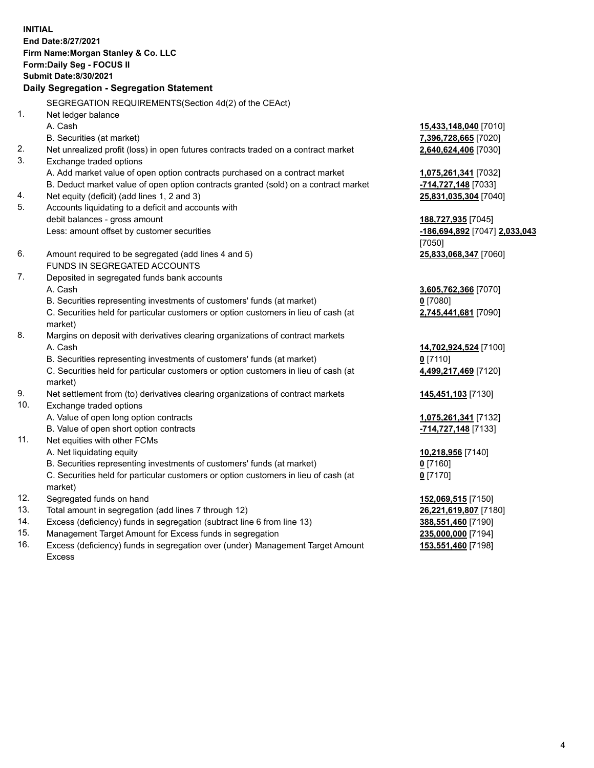**INITIAL End Date:8/27/2021 Firm Name:Morgan Stanley & Co. LLC Form:Daily Seg - FOCUS II Submit Date:8/30/2021 Daily Segregation - Segregation Statement** SEGREGATION REQUIREMENTS(Section 4d(2) of the CEAct) 1. Net ledger balance A. Cash **15,433,148,040** [7010] B. Securities (at market) **7,396,728,665** [7020] 2. Net unrealized profit (loss) in open futures contracts traded on a contract market **2,640,624,406** [7030] 3. Exchange traded options A. Add market value of open option contracts purchased on a contract market **1,075,261,341** [7032] B. Deduct market value of open option contracts granted (sold) on a contract market **-714,727,148** [7033] 4. Net equity (deficit) (add lines 1, 2 and 3) **25,831,035,304** [7040] 5. Accounts liquidating to a deficit and accounts with debit balances - gross amount **188,727,935** [7045] Less: amount offset by customer securities **-186,694,892** [7047] **2,033,043** [7050] 6. Amount required to be segregated (add lines 4 and 5) **25,833,068,347** [7060] FUNDS IN SEGREGATED ACCOUNTS 7. Deposited in segregated funds bank accounts A. Cash **3,605,762,366** [7070] B. Securities representing investments of customers' funds (at market) **0** [7080] C. Securities held for particular customers or option customers in lieu of cash (at market) **2,745,441,681** [7090] 8. Margins on deposit with derivatives clearing organizations of contract markets A. Cash **14,702,924,524** [7100] B. Securities representing investments of customers' funds (at market) **0** [7110] C. Securities held for particular customers or option customers in lieu of cash (at market) **4,499,217,469** [7120] 9. Net settlement from (to) derivatives clearing organizations of contract markets **145,451,103** [7130] 10. Exchange traded options A. Value of open long option contracts **1,075,261,341** [7132] B. Value of open short option contracts **-714,727,148** [7133] 11. Net equities with other FCMs A. Net liquidating equity **10,218,956** [7140] B. Securities representing investments of customers' funds (at market) **0** [7160] C. Securities held for particular customers or option customers in lieu of cash (at market) **0** [7170] 12. Segregated funds on hand **152,069,515** [7150] 13. Total amount in segregation (add lines 7 through 12) **26,221,619,807** [7180] 14. Excess (deficiency) funds in segregation (subtract line 6 from line 13) **388,551,460** [7190] 15. Management Target Amount for Excess funds in segregation **235,000,000** [7194]

16. Excess (deficiency) funds in segregation over (under) Management Target Amount Excess

**153,551,460** [7198]